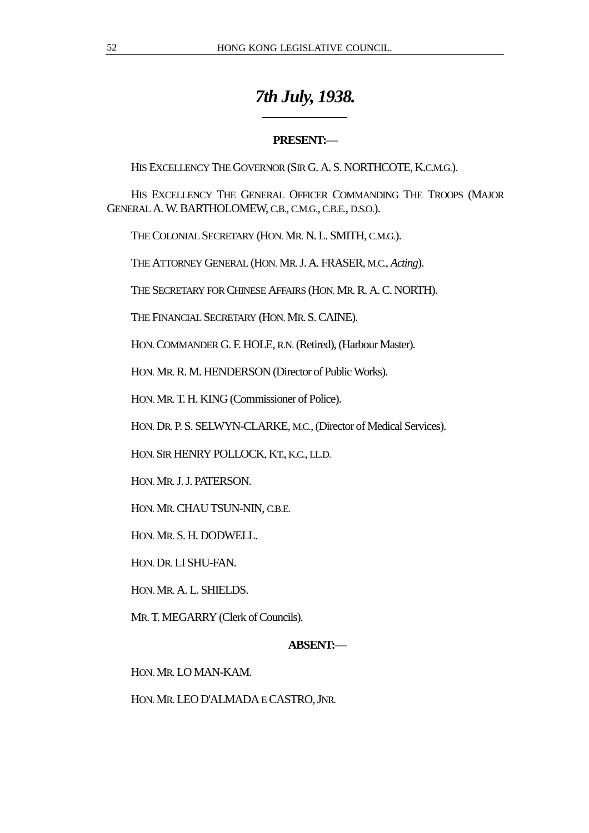# *7th July, 1938.*

# **PRESENT:**—

HIS EXCELLENCY THE GOVERNOR (SIR G. A. S. NORTHCOTE, K.C.M.G.).

HIS EXCELLENCY THE GENERAL OFFICER COMMANDING THE TROOPS (MAJOR GENERAL A. W. BARTHOLOMEW, C.B., C.M.G., C.B.E., D.S.O.).

THE COLONIAL SECRETARY (HON. MR. N. L. SMITH, C.M.G.).

 $\overline{a}$ 

THE ATTORNEY GENERAL (HON. MR. J. A. FRASER, M.C., *Acting*).

THE SECRETARY FOR CHINESE AFFAIRS (HON. MR. R. A. C. NORTH).

THE FINANCIAL SECRETARY (HON. MR. S. CAINE).

HON. COMMANDER G. F. HOLE, R.N. (Retired), (Harbour Master).

HON. MR. R. M. HENDERSON (Director of Public Works).

HON. MR. T. H. KING (Commissioner of Police).

HON. DR. P. S. SELWYN-CLARKE, M.C., (Director of Medical Services).

HON. SIR HENRY POLLOCK, KT., K.C., LL.D.

HON. MR. J. J. PATERSON.

HON. MR. CHAU TSUN-NIN, C.B.E.

HON. MR. S. H. DODWELL.

HON. DR. LI SHU-FAN.

HON. MR. A. L. SHIELDS.

MR. T. MEGARRY (Clerk of Councils).

# **ABSENT:**—

HON. MR. LO MAN-KAM.

HON. MR. LEO D'ALMADA E CASTRO, JNR.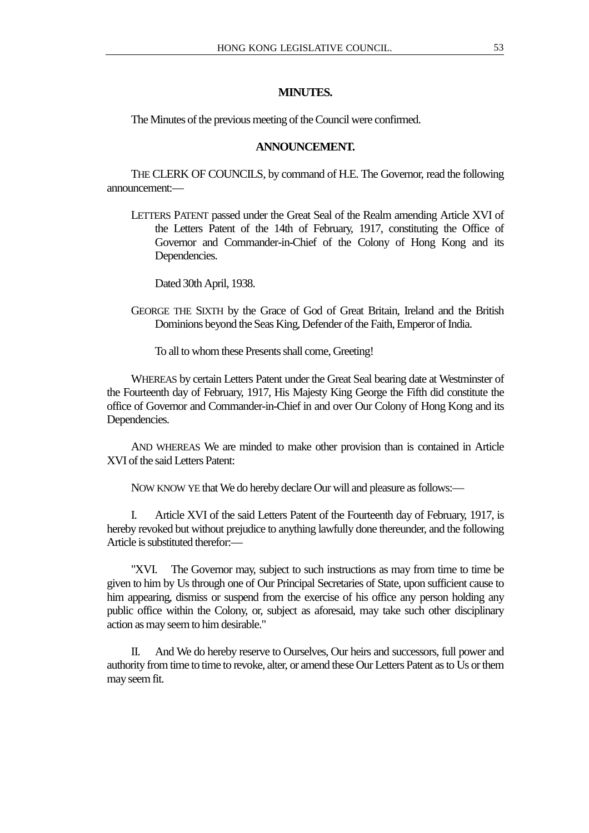### **MINUTES.**

The Minutes of the previous meeting of the Council were confirmed.

#### **ANNOUNCEMENT.**

THE CLERK OF COUNCILS, by command of H.E. The Governor, read the following announcement:—

LETTERS PATENT passed under the Great Seal of the Realm amending Article XVI of the Letters Patent of the 14th of February, 1917, constituting the Office of Governor and Commander-in-Chief of the Colony of Hong Kong and its Dependencies.

Dated 30th April, 1938.

GEORGE THE SIXTH by the Grace of God of Great Britain, Ireland and the British Dominions beyond the Seas King, Defender of the Faith, Emperor of India.

To all to whom these Presents shall come, Greeting!

WHEREAS by certain Letters Patent under the Great Seal bearing date at Westminster of the Fourteenth day of February, 1917, His Majesty King George the Fifth did constitute the office of Governor and Commander-in-Chief in and over Our Colony of Hong Kong and its Dependencies.

AND WHEREAS We are minded to make other provision than is contained in Article XVI of the said Letters Patent:

NOW KNOW YE that We do hereby declare Our will and pleasure as follows:—

I. Article XVI of the said Letters Patent of the Fourteenth day of February, 1917, is hereby revoked but without prejudice to anything lawfully done thereunder, and the following Article is substituted therefor:—

"XVI. The Governor may, subject to such instructions as may from time to time be given to him by Us through one of Our Principal Secretaries of State, upon sufficient cause to him appearing, dismiss or suspend from the exercise of his office any person holding any public office within the Colony, or, subject as aforesaid, may take such other disciplinary action as may seem to him desirable."

II. And We do hereby reserve to Ourselves, Our heirs and successors, full power and authority from time to time to revoke, alter, or amend these Our Letters Patent as to Us or them may seem fit.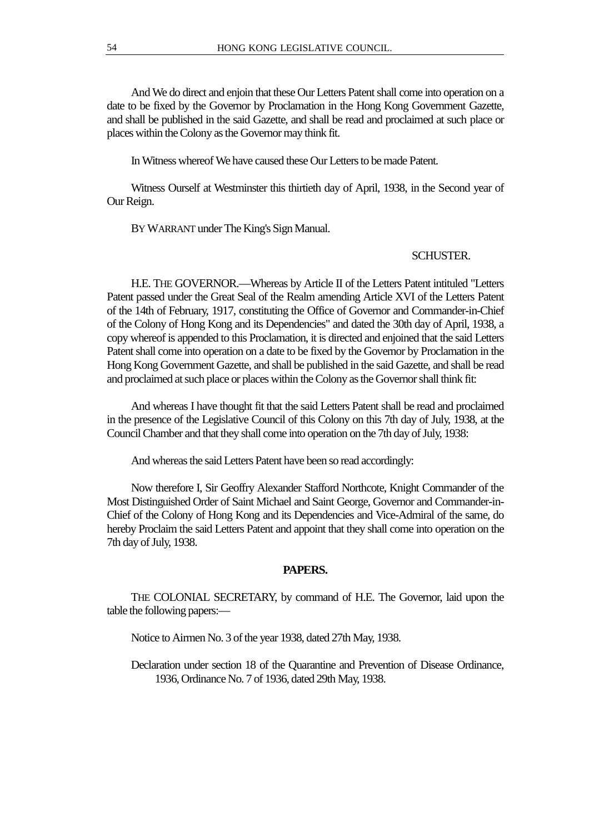And We do direct and enjoin that these Our Letters Patent shall come into operation on a date to be fixed by the Governor by Proclamation in the Hong Kong Government Gazette, and shall be published in the said Gazette, and shall be read and proclaimed at such place or places within the Colony as the Governor may think fit.

In Witness whereof We have caused these Our Letters to be made Patent.

Witness Ourself at Westminster this thirtieth day of April, 1938, in the Second year of Our Reign.

BY WARRANT under The King's Sign Manual.

# SCHUSTER.

H.E. THE GOVERNOR.—Whereas by Article II of the Letters Patent intituled "Letters Patent passed under the Great Seal of the Realm amending Article XVI of the Letters Patent of the 14th of February, 1917, constituting the Office of Governor and Commander-in-Chief of the Colony of Hong Kong and its Dependencies" and dated the 30th day of April, 1938, a copy whereof is appended to this Proclamation, it is directed and enjoined that the said Letters Patent shall come into operation on a date to be fixed by the Governor by Proclamation in the Hong Kong Government Gazette, and shall be published in the said Gazette, and shall be read and proclaimed at such place or places within the Colony as the Governor shall think fit:

And whereas I have thought fit that the said Letters Patent shall be read and proclaimed in the presence of the Legislative Council of this Colony on this 7th day of July, 1938, at the Council Chamber and that they shall come into operation on the 7th day of July, 1938:

And whereas the said Letters Patent have been so read accordingly:

Now therefore I, Sir Geoffry Alexander Stafford Northcote, Knight Commander of the Most Distinguished Order of Saint Michael and Saint George, Governor and Commander-in-Chief of the Colony of Hong Kong and its Dependencies and Vice-Admiral of the same, do hereby Proclaim the said Letters Patent and appoint that they shall come into operation on the 7th day of July, 1938.

#### **PAPERS.**

THE COLONIAL SECRETARY, by command of H.E. The Governor, laid upon the table the following papers:—

Notice to Airmen No. 3 of the year 1938, dated 27th May, 1938.

Declaration under section 18 of the Quarantine and Prevention of Disease Ordinance, 1936, Ordinance No. 7 of 1936, dated 29th May, 1938.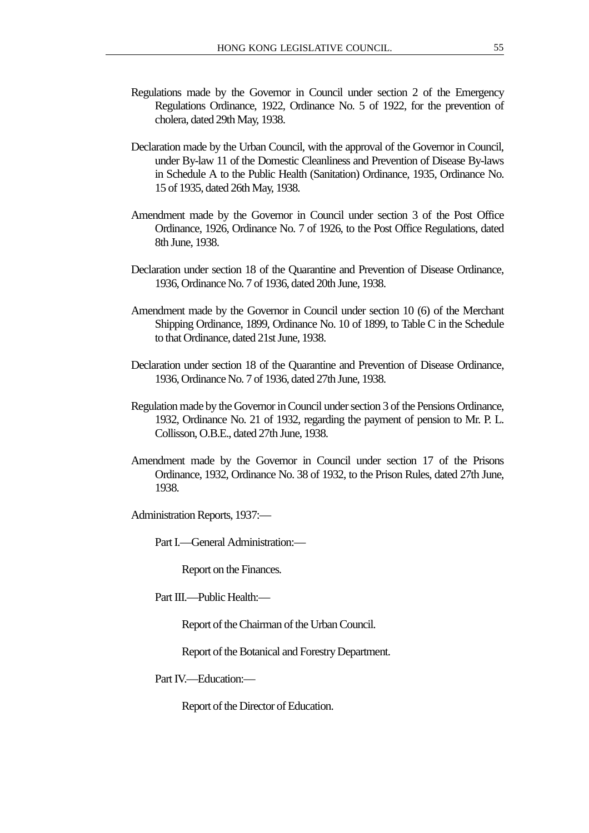- Regulations made by the Governor in Council under section 2 of the Emergency Regulations Ordinance, 1922, Ordinance No. 5 of 1922, for the prevention of cholera, dated 29th May, 1938.
- Declaration made by the Urban Council, with the approval of the Governor in Council, under By-law 11 of the Domestic Cleanliness and Prevention of Disease By-laws in Schedule A to the Public Health (Sanitation) Ordinance, 1935, Ordinance No. 15 of 1935, dated 26th May, 1938.
- Amendment made by the Governor in Council under section 3 of the Post Office Ordinance, 1926, Ordinance No. 7 of 1926, to the Post Office Regulations, dated 8th June, 1938.
- Declaration under section 18 of the Quarantine and Prevention of Disease Ordinance, 1936, Ordinance No. 7 of 1936, dated 20th June, 1938.
- Amendment made by the Governor in Council under section 10 (6) of the Merchant Shipping Ordinance, 1899, Ordinance No. 10 of 1899, to Table C in the Schedule to that Ordinance, dated 21st June, 1938.
- Declaration under section 18 of the Quarantine and Prevention of Disease Ordinance, 1936, Ordinance No. 7 of 1936, dated 27th June, 1938.
- Regulation made by the Governor in Council under section 3 of the Pensions Ordinance, 1932, Ordinance No. 21 of 1932, regarding the payment of pension to Mr. P. L. Collisson, O.B.E., dated 27th June, 1938.
- Amendment made by the Governor in Council under section 17 of the Prisons Ordinance, 1932, Ordinance No. 38 of 1932, to the Prison Rules, dated 27th June, 1938.

Administration Reports, 1937:—

Part I.—General Administration:—

Report on the Finances.

Part III.—Public Health:—

Report of the Chairman of the Urban Council.

Report of the Botanical and Forestry Department.

Part IV—Education:

Report of the Director of Education.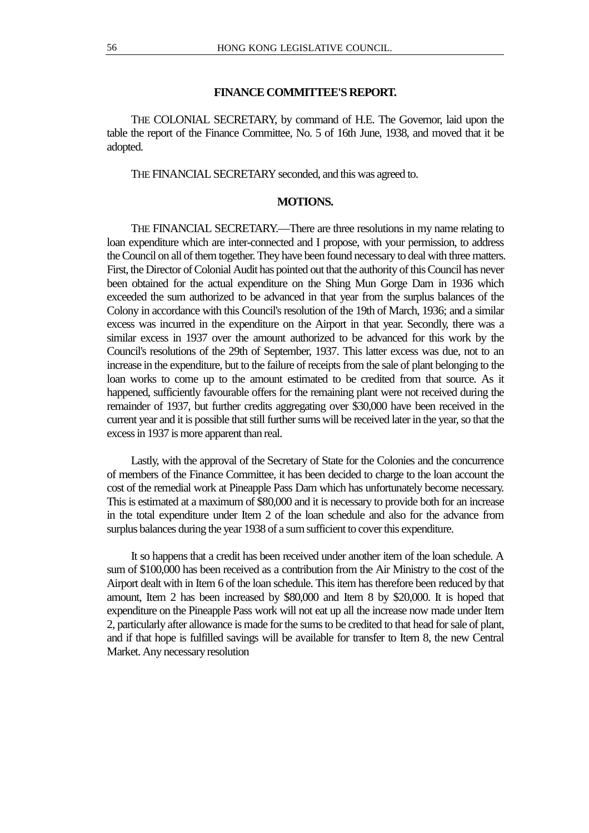#### **FINANCE COMMITTEE'S REPORT.**

THE COLONIAL SECRETARY, by command of H.E. The Governor, laid upon the table the report of the Finance Committee, No. 5 of 16th June, 1938, and moved that it be adopted.

THE FINANCIAL SECRETARY seconded, and this was agreed to.

#### **MOTIONS.**

THE FINANCIAL SECRETARY.—There are three resolutions in my name relating to loan expenditure which are inter-connected and I propose, with your permission, to address the Council on all of them together. They have been found necessary to deal with three matters. First, the Director of Colonial Audit has pointed out that the authority of this Council has never been obtained for the actual expenditure on the Shing Mun Gorge Dam in 1936 which exceeded the sum authorized to be advanced in that year from the surplus balances of the Colony in accordance with this Council's resolution of the 19th of March, 1936; and a similar excess was incurred in the expenditure on the Airport in that year. Secondly, there was a similar excess in 1937 over the amount authorized to be advanced for this work by the Council's resolutions of the 29th of September, 1937. This latter excess was due, not to an increase in the expenditure, but to the failure of receipts from the sale of plant belonging to the loan works to come up to the amount estimated to be credited from that source. As it happened, sufficiently favourable offers for the remaining plant were not received during the remainder of 1937, but further credits aggregating over \$30,000 have been received in the current year and it is possible that still further sums will be received later in the year, so that the excess in 1937 is more apparent than real.

Lastly, with the approval of the Secretary of State for the Colonies and the concurrence of members of the Finance Committee, it has been decided to charge to the loan account the cost of the remedial work at Pineapple Pass Dam which has unfortunately become necessary. This is estimated at a maximum of \$80,000 and it is necessary to provide both for an increase in the total expenditure under Item 2 of the loan schedule and also for the advance from surplus balances during the year 1938 of a sum sufficient to cover this expenditure.

It so happens that a credit has been received under another item of the loan schedule. A sum of \$100,000 has been received as a contribution from the Air Ministry to the cost of the Airport dealt with in Item 6 of the loan schedule. This item has therefore been reduced by that amount, Item 2 has been increased by \$80,000 and Item 8 by \$20,000. It is hoped that expenditure on the Pineapple Pass work will not eat up all the increase now made under Item 2, particularly after allowance is made for the sums to be credited to that head for sale of plant, and if that hope is fulfilled savings will be available for transfer to Item 8, the new Central Market. Any necessary resolution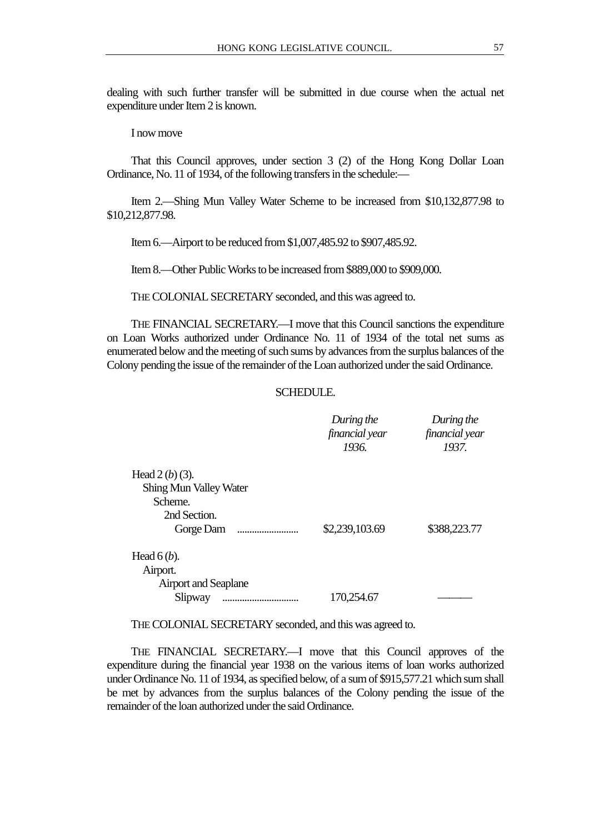dealing with such further transfer will be submitted in due course when the actual net expenditure under Item 2 is known.

I now move

That this Council approves, under section 3 (2) of the Hong Kong Dollar Loan Ordinance, No. 11 of 1934, of the following transfers in the schedule:—

Item 2.—Shing Mun Valley Water Scheme to be increased from \$10,132,877.98 to \$10,212,877.98.

Item 6.—Airport to be reduced from \$1,007,485.92 to \$907,485.92.

Item 8.—Other Public Works to be increased from \$889,000 to \$909,000.

THE COLONIAL SECRETARY seconded, and this was agreed to.

THE FINANCIAL SECRETARY.—I move that this Council sanctions the expenditure on Loan Works authorized under Ordinance No. 11 of 1934 of the total net sums as enumerated below and the meeting of such sums by advances from the surplus balances of the Colony pending the issue of the remainder of the Loan authorized under the said Ordinance.

#### SCHEDULE.

|                               | During the<br>financial year | During the<br>financial year |
|-------------------------------|------------------------------|------------------------------|
|                               | 1936.                        | 1937.                        |
|                               |                              |                              |
| Head $2(b)$ (3).              |                              |                              |
| <b>Shing Mun Valley Water</b> |                              |                              |
| Scheme.                       |                              |                              |
| 2nd Section.                  |                              |                              |
| Gorge Dam<br>                 | \$2,239,103.69               | \$388,223.77                 |
| Head $6(b)$ .                 |                              |                              |
| Airport.                      |                              |                              |
| <b>Airport and Seaplane</b>   |                              |                              |
| Slipway                       | 170,254.67                   |                              |

THE COLONIAL SECRETARY seconded, and this was agreed to.

THE FINANCIAL SECRETARY.—I move that this Council approves of the expenditure during the financial year 1938 on the various items of loan works authorized under Ordinance No. 11 of 1934, as specified below, of a sum of \$915,577.21 which sum shall be met by advances from the surplus balances of the Colony pending the issue of the remainder of the loan authorized under the said Ordinance.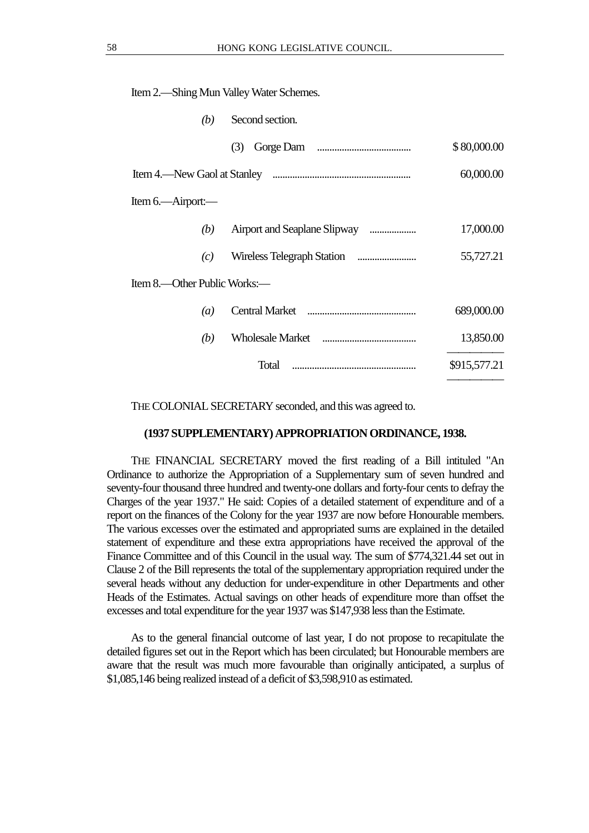| (b)                         | Second section. |              |
|-----------------------------|-----------------|--------------|
|                             | (3)             | \$80,000.00  |
|                             |                 | 60,000.00    |
| Item 6.—Airport:—           |                 |              |
| (b)                         |                 | 17,000.00    |
| (c)                         |                 | 55,727.21    |
| Item 8—Other Public Works:— |                 |              |
| (a)                         |                 | 689,000.00   |
| (b)                         |                 | 13,850.00    |
|                             | Total           | \$915,577.21 |
|                             |                 |              |

THE COLONIAL SECRETARY seconded, and this was agreed to.

#### **(1937 SUPPLEMENTARY) APPROPRIATION ORDINANCE, 1938.**

THE FINANCIAL SECRETARY moved the first reading of a Bill intituled "An Ordinance to authorize the Appropriation of a Supplementary sum of seven hundred and seventy-four thousand three hundred and twenty-one dollars and forty-four cents to defray the Charges of the year 1937." He said: Copies of a detailed statement of expenditure and of a report on the finances of the Colony for the year 1937 are now before Honourable members. The various excesses over the estimated and appropriated sums are explained in the detailed statement of expenditure and these extra appropriations have received the approval of the Finance Committee and of this Council in the usual way. The sum of \$774,321.44 set out in Clause 2 of the Bill represents the total of the supplementary appropriation required under the several heads without any deduction for under-expenditure in other Departments and other Heads of the Estimates. Actual savings on other heads of expenditure more than offset the excesses and total expenditure for the year 1937 was \$147,938 less than the Estimate.

As to the general financial outcome of last year, I do not propose to recapitulate the detailed figures set out in the Report which has been circulated; but Honourable members are aware that the result was much more favourable than originally anticipated, a surplus of \$1,085,146 being realized instead of a deficit of \$3,598,910 as estimated.

Item 2.—Shing Mun Valley Water Schemes.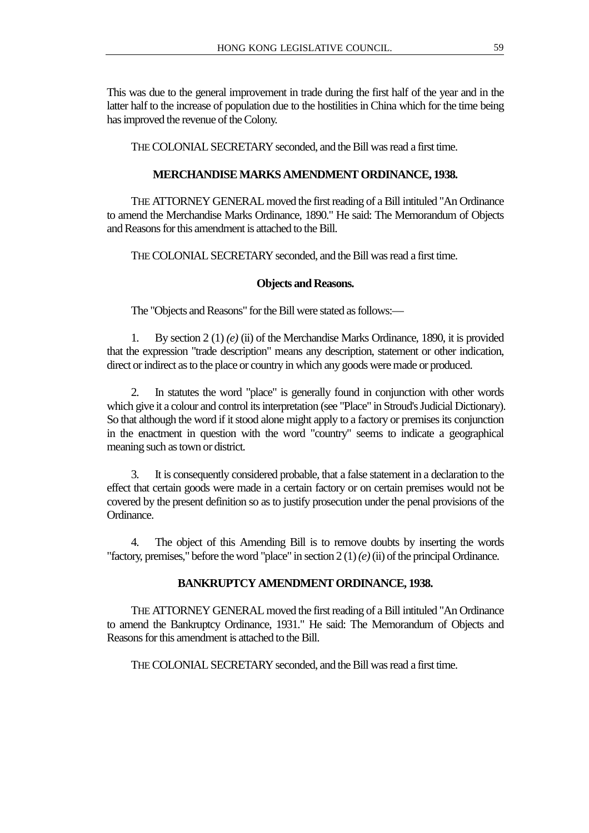This was due to the general improvement in trade during the first half of the year and in the latter half to the increase of population due to the hostilities in China which for the time being has improved the revenue of the Colony.

THE COLONIAL SECRETARY seconded, and the Bill was read a first time.

# **MERCHANDISE MARKS AMENDMENT ORDINANCE, 1938.**

THE ATTORNEY GENERAL moved the first reading of a Bill intituled "An Ordinance to amend the Merchandise Marks Ordinance, 1890." He said: The Memorandum of Objects and Reasons for this amendment is attached to the Bill.

THE COLONIAL SECRETARY seconded, and the Bill was read a first time.

# **Objects and Reasons.**

The "Objects and Reasons" for the Bill were stated as follows:—

1. By section 2 (1) *(e)* (ii) of the Merchandise Marks Ordinance, 1890, it is provided that the expression "trade description" means any description, statement or other indication, direct or indirect as to the place or country in which any goods were made or produced.

2. In statutes the word "place" is generally found in conjunction with other words which give it a colour and control its interpretation (see "Place" in Stroud's Judicial Dictionary). So that although the word if it stood alone might apply to a factory or premises its conjunction in the enactment in question with the word "country" seems to indicate a geographical meaning such as town or district.

3. It is consequently considered probable, that a false statement in a declaration to the effect that certain goods were made in a certain factory or on certain premises would not be covered by the present definition so as to justify prosecution under the penal provisions of the Ordinance.

4. The object of this Amending Bill is to remove doubts by inserting the words "factory, premises," before the word "place" in section 2 (1) *(e)* (ii) of the principal Ordinance.

# **BANKRUPTCY AMENDMENT ORDINANCE, 1938.**

THE ATTORNEY GENERAL moved the first reading of a Bill intituled "An Ordinance to amend the Bankruptcy Ordinance, 1931." He said: The Memorandum of Objects and Reasons for this amendment is attached to the Bill.

THE COLONIAL SECRETARY seconded, and the Bill was read a first time.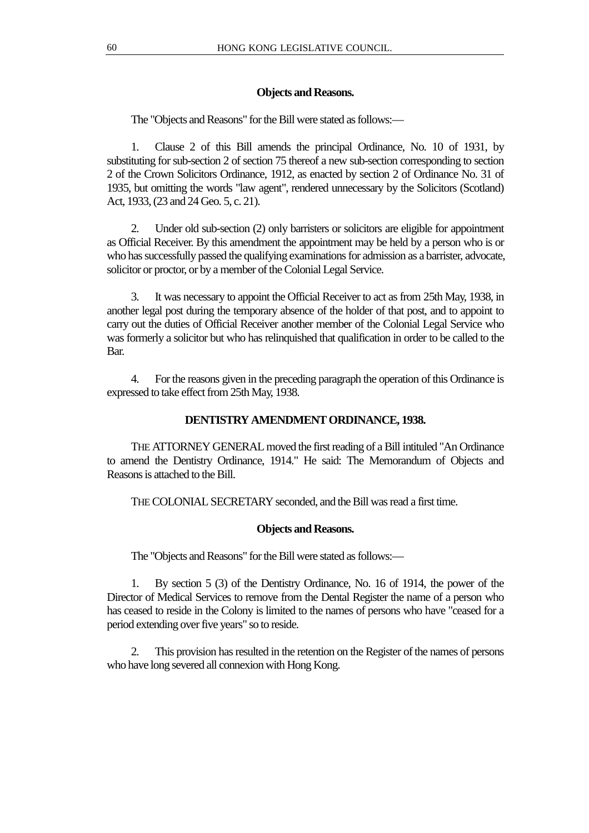# **Objects and Reasons.**

The "Objects and Reasons" for the Bill were stated as follows:—

1. Clause 2 of this Bill amends the principal Ordinance, No. 10 of 1931, by substituting for sub-section 2 of section 75 thereof a new sub-section corresponding to section 2 of the Crown Solicitors Ordinance, 1912, as enacted by section 2 of Ordinance No. 31 of 1935, but omitting the words "law agent", rendered unnecessary by the Solicitors (Scotland) Act, 1933, (23 and 24 Geo. 5, c. 21).

2. Under old sub-section (2) only barristers or solicitors are eligible for appointment as Official Receiver. By this amendment the appointment may be held by a person who is or who has successfully passed the qualifying examinations for admission as a barrister, advocate, solicitor or proctor, or by a member of the Colonial Legal Service.

3. It was necessary to appoint the Official Receiver to act as from 25th May, 1938, in another legal post during the temporary absence of the holder of that post, and to appoint to carry out the duties of Official Receiver another member of the Colonial Legal Service who was formerly a solicitor but who has relinquished that qualification in order to be called to the Bar.

4. For the reasons given in the preceding paragraph the operation of this Ordinance is expressed to take effect from 25th May, 1938.

# **DENTISTRY AMENDMENT ORDINANCE, 1938.**

THE ATTORNEY GENERAL moved the first reading of a Bill intituled "An Ordinance to amend the Dentistry Ordinance, 1914." He said: The Memorandum of Objects and Reasons is attached to the Bill.

THE COLONIAL SECRETARY seconded, and the Bill was read a first time.

#### **Objects and Reasons.**

The "Objects and Reasons" for the Bill were stated as follows:—

1. By section 5 (3) of the Dentistry Ordinance, No. 16 of 1914, the power of the Director of Medical Services to remove from the Dental Register the name of a person who has ceased to reside in the Colony is limited to the names of persons who have "ceased for a period extending over five years" so to reside.

2. This provision has resulted in the retention on the Register of the names of persons who have long severed all connexion with Hong Kong.